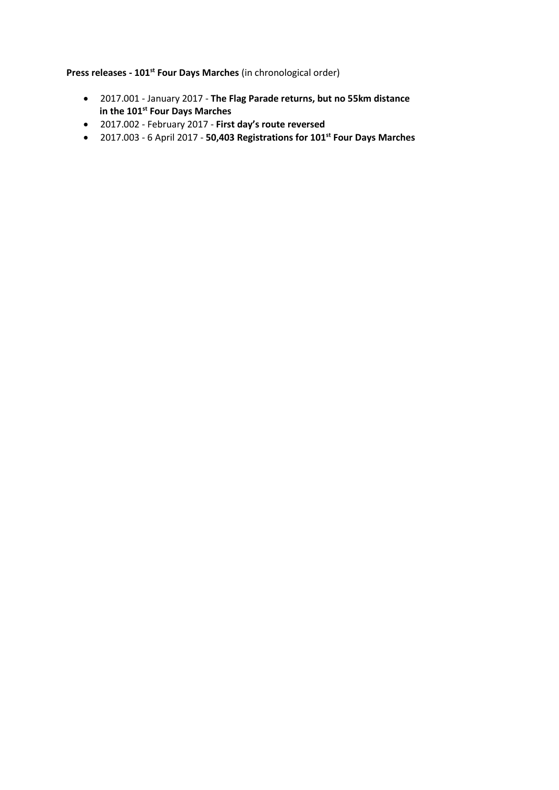**Press releases - 101st Four Days Marches** (in chronological order)

- 2017.001 January 2017 **The Flag Parade returns, but no 55km distance in the 101st Four Days Marches**
- 2017.002 February 2017 **First day's route reversed**
- 2017.003 6 April 2017 **50,403 Registrations for 101st Four Days Marches**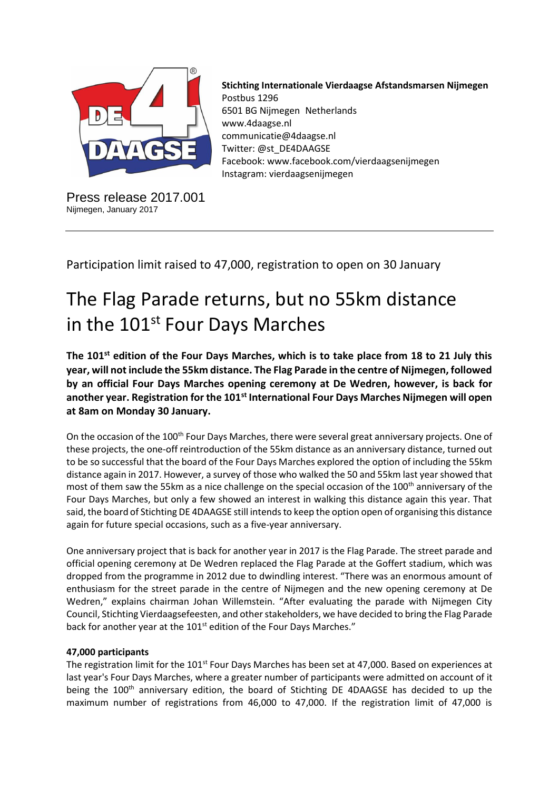

Press release 2017.001 Nijmegen, January 2017

**Stichting Internationale Vierdaagse Afstandsmarsen Nijmegen** Postbus 1296 6501 BG Nijmegen Netherlands www.4daagse.nl communicatie@4daagse.nl Twitter: @st\_DE4DAAGSE Facebook: www.facebook.com/vierdaagsenijmegen Instagram: vierdaagsenijmegen

Participation limit raised to 47,000, registration to open on 30 January

# The Flag Parade returns, but no 55km distance in the 101<sup>st</sup> Four Days Marches

**The 101st edition of the Four Days Marches, which is to take place from 18 to 21 July this year, will not include the 55km distance. The Flag Parade in the centre of Nijmegen, followed by an official Four Days Marches opening ceremony at De Wedren, however, is back for another year. Registration for the 101st International Four Days Marches Nijmegen will open at 8am on Monday 30 January.** 

On the occasion of the 100<sup>th</sup> Four Days Marches, there were several great anniversary projects. One of these projects, the one-off reintroduction of the 55km distance as an anniversary distance, turned out to be so successful that the board of the Four Days Marches explored the option of including the 55km distance again in 2017. However, a survey of those who walked the 50 and 55km last year showed that most of them saw the 55km as a nice challenge on the special occasion of the 100<sup>th</sup> anniversary of the Four Days Marches, but only a few showed an interest in walking this distance again this year. That said, the board of Stichting DE 4DAAGSE still intends to keep the option open of organising this distance again for future special occasions, such as a five-year anniversary.

One anniversary project that is back for another year in 2017 is the Flag Parade. The street parade and official opening ceremony at De Wedren replaced the Flag Parade at the Goffert stadium, which was dropped from the programme in 2012 due to dwindling interest. "There was an enormous amount of enthusiasm for the street parade in the centre of Nijmegen and the new opening ceremony at De Wedren," explains chairman Johan Willemstein. "After evaluating the parade with Nijmegen City Council, Stichting Vierdaagsefeesten, and other stakeholders, we have decided to bring the Flag Parade back for another year at the 101<sup>st</sup> edition of the Four Days Marches."

# **47,000 participants**

The registration limit for the 101<sup>st</sup> Four Days Marches has been set at 47,000. Based on experiences at last year's Four Days Marches, where a greater number of participants were admitted on account of it being the  $100<sup>th</sup>$  anniversary edition, the board of Stichting DE 4DAAGSE has decided to up the maximum number of registrations from 46,000 to 47,000. If the registration limit of 47,000 is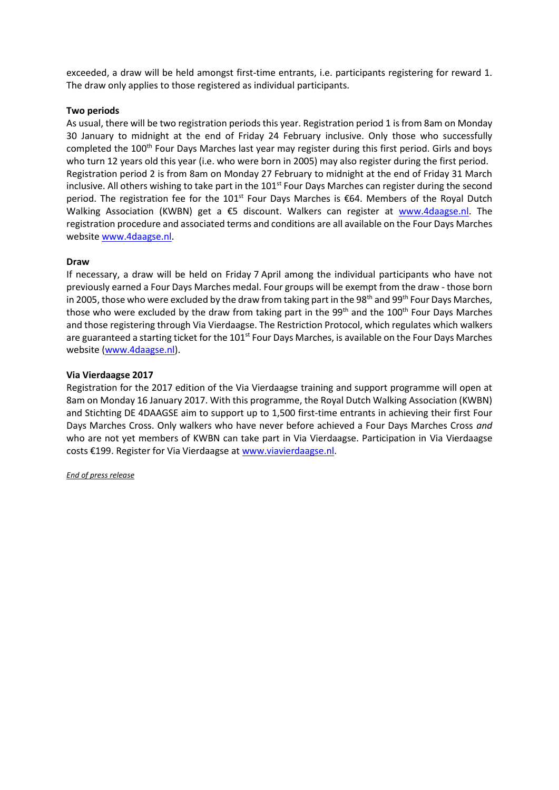exceeded, a draw will be held amongst first-time entrants, i.e. participants registering for reward 1. The draw only applies to those registered as individual participants.

## **Two periods**

As usual, there will be two registration periods this year. Registration period 1 is from 8am on Monday 30 January to midnight at the end of Friday 24 February inclusive. Only those who successfully completed the 100<sup>th</sup> Four Days Marches last year may register during this first period. Girls and boys who turn 12 years old this year (i.e. who were born in 2005) may also register during the first period. Registration period 2 is from 8am on Monday 27 February to midnight at the end of Friday 31 March inclusive. All others wishing to take part in the  $101<sup>st</sup>$  Four Days Marches can register during the second period. The registration fee for the 101<sup>st</sup> Four Days Marches is  $\epsilon$ 64. Members of the Royal Dutch Walking Association (KWBN) get a €5 discount. Walkers can register at [www.4daagse.nl.](http://www.4daagse.nl/) The registration procedure and associated terms and conditions are all available on the Four Days Marches websit[e www.4daagse.nl.](http://www.4daagse.nl/)

## **Draw**

If necessary, a draw will be held on Friday 7 April among the individual participants who have not previously earned a Four Days Marches medal. Four groups will be exempt from the draw - those born in 2005, those who were excluded by the draw from taking part in the 98<sup>th</sup> and 99<sup>th</sup> Four Days Marches, those who were excluded by the draw from taking part in the 99<sup>th</sup> and the 100<sup>th</sup> Four Days Marches and those registering through Via Vierdaagse. The Restriction Protocol, which regulates which walkers are guaranteed a starting ticket for the 101<sup>st</sup> Four Days Marches, is available on the Four Days Marches website [\(www.4daagse.nl\)](http://www.4daagse.nl/).

#### **Via Vierdaagse 2017**

Registration for the 2017 edition of the Via Vierdaagse training and support programme will open at 8am on Monday 16 January 2017. With this programme, the Royal Dutch Walking Association (KWBN) and Stichting DE 4DAAGSE aim to support up to 1,500 first-time entrants in achieving their first Four Days Marches Cross. Only walkers who have never before achieved a Four Days Marches Cross *and*  who are not yet members of KWBN can take part in Via Vierdaagse. Participation in Via Vierdaagse costs €199. Register for Via Vierdaagse at [www.viavierdaagse.nl.](http://www.viavierdaagse.nl/)

*End of press release*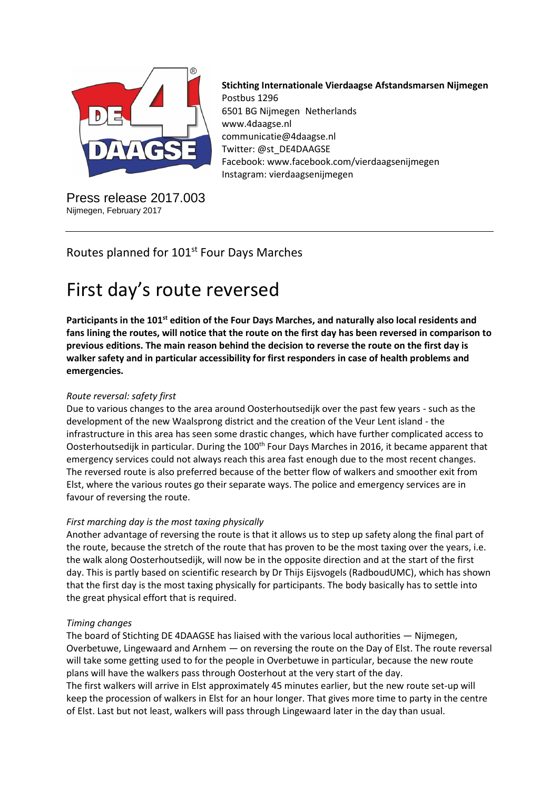

Press release 2017.003 Nijmegen, February 2017

**Stichting Internationale Vierdaagse Afstandsmarsen Nijmegen** Postbus 1296 6501 BG Nijmegen Netherlands www.4daagse.nl communicatie@4daagse.nl Twitter: @st\_DE4DAAGSE Facebook: www.facebook.com/vierdaagsenijmegen Instagram: vierdaagsenijmegen

# Routes planned for 101<sup>st</sup> Four Days Marches

# First day's route reversed

**Participants in the 101st edition of the Four Days Marches, and naturally also local residents and fans lining the routes, will notice that the route on the first day has been reversed in comparison to previous editions. The main reason behind the decision to reverse the route on the first day is walker safety and in particular accessibility for first responders in case of health problems and emergencies.**

# *Route reversal: safety first*

Due to various changes to the area around Oosterhoutsedijk over the past few years - such as the development of the new Waalsprong district and the creation of the Veur Lent island - the infrastructure in this area has seen some drastic changes, which have further complicated access to Oosterhoutsedijk in particular. During the 100<sup>th</sup> Four Days Marches in 2016, it became apparent that emergency services could not always reach this area fast enough due to the most recent changes. The reversed route is also preferred because of the better flow of walkers and smoother exit from Elst, where the various routes go their separate ways. The police and emergency services are in favour of reversing the route.

# *First marching day is the most taxing physically*

Another advantage of reversing the route is that it allows us to step up safety along the final part of the route, because the stretch of the route that has proven to be the most taxing over the years, i.e. the walk along Oosterhoutsedijk, will now be in the opposite direction and at the start of the first day. This is partly based on scientific research by Dr Thijs Eijsvogels (RadboudUMC), which has shown that the first day is the most taxing physically for participants. The body basically has to settle into the great physical effort that is required.

# *Timing changes*

The board of Stichting DE 4DAAGSE has liaised with the various local authorities — Nijmegen, Overbetuwe, Lingewaard and Arnhem — on reversing the route on the Day of Elst. The route reversal will take some getting used to for the people in Overbetuwe in particular, because the new route plans will have the walkers pass through Oosterhout at the very start of the day. The first walkers will arrive in Elst approximately 45 minutes earlier, but the new route set-up will keep the procession of walkers in Elst for an hour longer. That gives more time to party in the centre

of Elst. Last but not least, walkers will pass through Lingewaard later in the day than usual.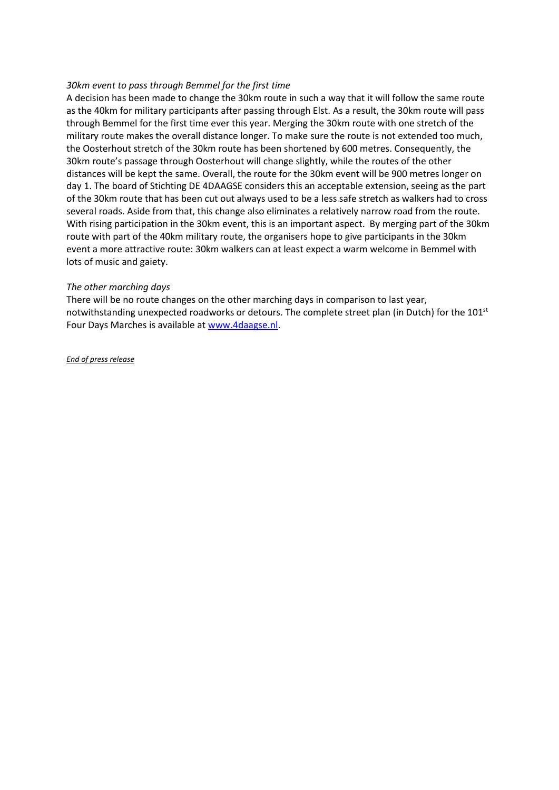## *30km event to pass through Bemmel for the first time*

A decision has been made to change the 30km route in such a way that it will follow the same route as the 40km for military participants after passing through Elst. As a result, the 30km route will pass through Bemmel for the first time ever this year. Merging the 30km route with one stretch of the military route makes the overall distance longer. To make sure the route is not extended too much, the Oosterhout stretch of the 30km route has been shortened by 600 metres. Consequently, the 30km route's passage through Oosterhout will change slightly, while the routes of the other distances will be kept the same. Overall, the route for the 30km event will be 900 metres longer on day 1. The board of Stichting DE 4DAAGSE considers this an acceptable extension, seeing as the part of the 30km route that has been cut out always used to be a less safe stretch as walkers had to cross several roads. Aside from that, this change also eliminates a relatively narrow road from the route. With rising participation in the 30km event, this is an important aspect. By merging part of the 30km route with part of the 40km military route, the organisers hope to give participants in the 30km event a more attractive route: 30km walkers can at least expect a warm welcome in Bemmel with lots of music and gaiety.

#### *The other marching days*

There will be no route changes on the other marching days in comparison to last year, notwithstanding unexpected roadworks or detours. The complete street plan (in Dutch) for the 101<sup>st</sup> Four Days Marches is available a[t www.4daagse.nl.](http://www.4daagse.nl/)

*End of press release*